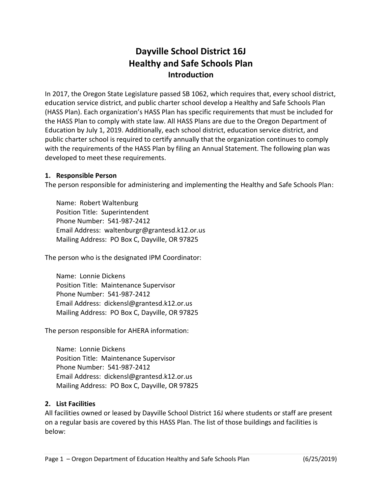# **Dayville School District 16J Healthy and Safe Schools Plan Introduction**

In 2017, the Oregon State Legislature passed SB 1062, which requires that, every school district, education service district, and public charter school develop a Healthy and Safe Schools Plan (HASS Plan). Each organization's HASS Plan has specific requirements that must be included for the HASS Plan to comply with state law. All HASS Plans are due to the Oregon Department of Education by July 1, 2019. Additionally, each school district, education service district, and public charter school is required to certify annually that the organization continues to comply with the requirements of the HASS Plan by filing an Annual Statement. The following plan was developed to meet these requirements.

#### **1. Responsible Person**

The person responsible for administering and implementing the Healthy and Safe Schools Plan:

Name: Robert Waltenburg Position Title: Superintendent Phone Number: 541-987-2412 Email Address: waltenburgr@grantesd.k12.or.us Mailing Address: PO Box C, Dayville, OR 97825

The person who is the designated IPM Coordinator:

Name: Lonnie Dickens Position Title: Maintenance Supervisor Phone Number: 541-987-2412 Email Address: dickensl@grantesd.k12.or.us Mailing Address: PO Box C, Dayville, OR 97825

The person responsible for AHERA information:

Name: Lonnie Dickens Position Title: Maintenance Supervisor Phone Number: 541-987-2412 Email Address: dickensl@grantesd.k12.or.us Mailing Address: PO Box C, Dayville, OR 97825

#### **2. List Facilities**

All facilities owned or leased by Dayville School District 16J where students or staff are present on a regular basis are covered by this HASS Plan. The list of those buildings and facilities is below: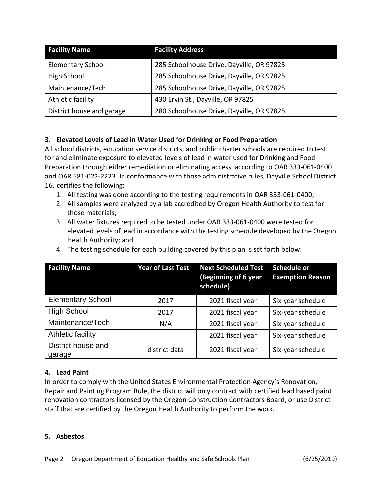| <b>Facility Name</b>      | <b>Facility Address</b>                   |
|---------------------------|-------------------------------------------|
| <b>Elementary School</b>  | 285 Schoolhouse Drive, Dayville, OR 97825 |
| High School               | 285 Schoolhouse Drive, Dayville, OR 97825 |
| Maintenance/Tech          | 285 Schoolhouse Drive, Dayville, OR 97825 |
| Athletic facility         | 430 Ervin St., Dayville, OR 97825         |
| District house and garage | 280 Schoolhouse Drive, Dayville, OR 97825 |

#### **3. Elevated Levels of Lead in Water Used for Drinking or Food Preparation**

All school districts, education service districts, and public charter schools are required to test for and eliminate exposure to elevated levels of lead in water used for Drinking and Food Preparation through either remediation or eliminating access, according to OAR 333-061-0400 and OAR 581-022-2223. In conformance with those administrative rules, Dayville School District 16J certifies the following:

- 1. All testing was done according to the testing requirements in OAR 333-061-0400;
- 2. All samples were analyzed by a lab accredited by Oregon Health Authority to test for those materials;
- 3. All water fixtures required to be tested under OAR 333-061-0400 were tested for elevated levels of lead in accordance with the testing schedule developed by the Oregon Health Authority; and

|  |  |  | 4. The testing schedule for each building covered by this plan is set forth below: |
|--|--|--|------------------------------------------------------------------------------------|
|--|--|--|------------------------------------------------------------------------------------|

| <b>Facility Name</b>         | <b>Year of Last Test</b> | <b>Next Scheduled Test</b><br>(Beginning of 6 year<br>schedule) | <b>Schedule or</b><br><b>Exemption Reason</b> |
|------------------------------|--------------------------|-----------------------------------------------------------------|-----------------------------------------------|
| <b>Elementary School</b>     | 2017                     | 2021 fiscal year                                                | Six-year schedule                             |
| <b>High School</b>           | 2017                     | 2021 fiscal year                                                | Six-year schedule                             |
| Maintenance/Tech             | N/A                      | 2021 fiscal year                                                | Six-year schedule                             |
| Athletic facility            |                          | 2021 fiscal year                                                | Six-year schedule                             |
| District house and<br>garage | district data            | 2021 fiscal year                                                | Six-year schedule                             |

#### **4. Lead Paint**

In order to comply with the United States Environmental Protection Agency's Renovation, Repair and Painting Program Rule, the district will only contract with certified lead based paint renovation contractors licensed by the Oregon Construction Contractors Board, or use District staff that are certified by the Oregon Health Authority to perform the work.

#### **5. Asbestos**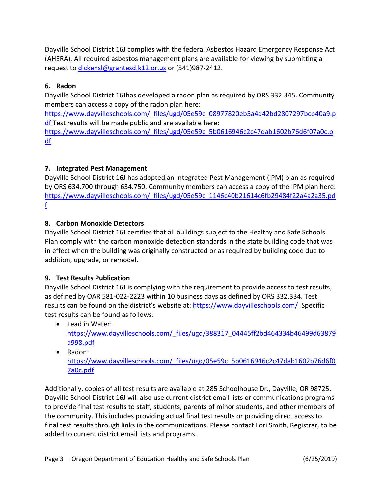Dayville School District 16J complies with the federal Asbestos Hazard Emergency Response Act (AHERA). All required asbestos management plans are available for viewing by submitting a request to [dickensl@grantesd.k12.or.us](mailto:dickensl@grantesd.k12.or.us) or (541)987-2412.

## **6. Radon**

Dayville School District 16Jhas developed a radon plan as required by ORS 332.345. Community members can access a copy of the radon plan here:

[https://www.dayvilleschools.com/\\_files/ugd/05e59c\\_08977820eb5a4d42bd2807297bcb40a9.p](https://www.dayvilleschools.com/_files/ugd/05e59c_08977820eb5a4d42bd2807297bcb40a9.pdf) [df](https://www.dayvilleschools.com/_files/ugd/05e59c_08977820eb5a4d42bd2807297bcb40a9.pdf) Test results will be made public and are available here:

[https://www.dayvilleschools.com/\\_files/ugd/05e59c\\_5b0616946c2c47dab1602b76d6f07a0c.p](https://www.dayvilleschools.com/_files/ugd/05e59c_5b0616946c2c47dab1602b76d6f07a0c.pdf) [df](https://www.dayvilleschools.com/_files/ugd/05e59c_5b0616946c2c47dab1602b76d6f07a0c.pdf)

### **7. Integrated Pest Management**

Dayville School District 16J has adopted an Integrated Pest Management (IPM) plan as required by ORS 634.700 through 634.750. Community members can access a copy of the IPM plan here: [https://www.dayvilleschools.com/\\_files/ugd/05e59c\\_1146c40b21614c6fb29484f22a4a2a35.pd](https://www.dayvilleschools.com/_files/ugd/05e59c_1146c40b21614c6fb29484f22a4a2a35.pdf) [f](https://www.dayvilleschools.com/_files/ugd/05e59c_1146c40b21614c6fb29484f22a4a2a35.pdf)

### **8. Carbon Monoxide Detectors**

Dayville School District 16J certifies that all buildings subject to the Healthy and Safe Schools Plan comply with the carbon monoxide detection standards in the state building code that was in effect when the building was originally constructed or as required by building code due to addition, upgrade, or remodel.

### **9. Test Results Publication**

Dayville School District 16J is complying with the requirement to provide access to test results, as defined by OAR 581-022-2223 within 10 business days as defined by ORS 332.334. Test results can be found on the district's website at: <https://www.dayvilleschools.com/> Specific test results can be found as follows:

- Lead in Water: [https://www.dayvilleschools.com/\\_files/ugd/388317\\_04445ff2bd464334b46499d63879](https://www.dayvilleschools.com/_files/ugd/388317_04445ff2bd464334b46499d63879a998.pdf) [a998.pdf](https://www.dayvilleschools.com/_files/ugd/388317_04445ff2bd464334b46499d63879a998.pdf)
- Radon: [https://www.dayvilleschools.com/\\_files/ugd/05e59c\\_5b0616946c2c47dab1602b76d6f0](https://www.dayvilleschools.com/_files/ugd/05e59c_5b0616946c2c47dab1602b76d6f07a0c.pdf) [7a0c.pdf](https://www.dayvilleschools.com/_files/ugd/05e59c_5b0616946c2c47dab1602b76d6f07a0c.pdf)

Additionally, copies of all test results are available at 285 Schoolhouse Dr., Dayville, OR 98725. Dayville School District 16J will also use current district email lists or communications programs to provide final test results to staff, students, parents of minor students, and other members of the community. This includes providing actual final test results or providing direct access to final test results through links in the communications. Please contact Lori Smith, Registrar, to be added to current district email lists and programs.